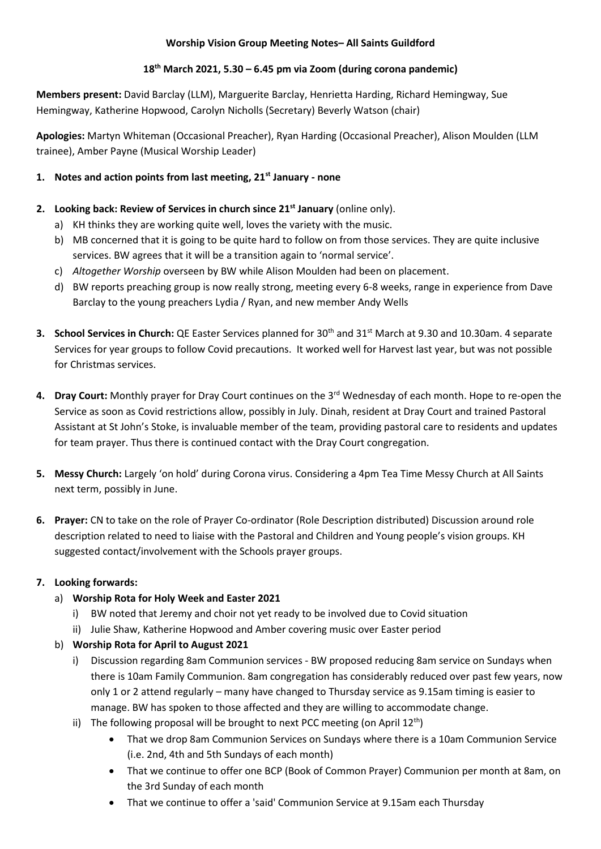### **Worship Vision Group Meeting Notes– All Saints Guildford**

## **18th March 2021, 5.30 – 6.45 pm via Zoom (during corona pandemic)**

**Members present:** David Barclay (LLM), Marguerite Barclay, Henrietta Harding, Richard Hemingway, Sue Hemingway, Katherine Hopwood, Carolyn Nicholls (Secretary) Beverly Watson (chair)

**Apologies:** Martyn Whiteman (Occasional Preacher), Ryan Harding (Occasional Preacher), Alison Moulden (LLM trainee), Amber Payne (Musical Worship Leader)

## **1. Notes and action points from last meeting, 21st January - none**

- **2. Looking back: Review of Services in church since 21st January** (online only).
	- a) KH thinks they are working quite well, loves the variety with the music.
	- b) MB concerned that it is going to be quite hard to follow on from those services. They are quite inclusive services. BW agrees that it will be a transition again to 'normal service'.
	- c) *Altogether Worship* overseen by BW while Alison Moulden had been on placement.
	- d) BW reports preaching group is now really strong, meeting every 6-8 weeks, range in experience from Dave Barclay to the young preachers Lydia / Ryan, and new member Andy Wells
- **3. School Services in Church:** QE Easter Services planned for 30th and 31st March at 9.30 and 10.30am. 4 separate Services for year groups to follow Covid precautions. It worked well for Harvest last year, but was not possible for Christmas services.
- **4. Dray Court:** Monthly prayer for Dray Court continues on the 3rd Wednesday of each month. Hope to re-open the Service as soon as Covid restrictions allow, possibly in July. Dinah, resident at Dray Court and trained Pastoral Assistant at St John's Stoke, is invaluable member of the team, providing pastoral care to residents and updates for team prayer. Thus there is continued contact with the Dray Court congregation.
- **5. Messy Church:** Largely 'on hold' during Corona virus. Considering a 4pm Tea Time Messy Church at All Saints next term, possibly in June.
- **6. Prayer:** CN to take on the role of Prayer Co-ordinator (Role Description distributed) Discussion around role description related to need to liaise with the Pastoral and Children and Young people's vision groups. KH suggested contact/involvement with the Schools prayer groups.

# **7. Looking forwards:**

- a) **Worship Rota for Holy Week and Easter 2021**
	- i) BW noted that Jeremy and choir not yet ready to be involved due to Covid situation
	- ii) Julie Shaw, Katherine Hopwood and Amber covering music over Easter period

# b) **Worship Rota for April to August 2021**

- i) Discussion regarding 8am Communion services BW proposed reducing 8am service on Sundays when there is 10am Family Communion. 8am congregation has considerably reduced over past few years, now only 1 or 2 attend regularly – many have changed to Thursday service as 9.15am timing is easier to manage. BW has spoken to those affected and they are willing to accommodate change.
- ii) The following proposal will be brought to next PCC meeting (on April  $12^{th}$ )
	- That we drop 8am Communion Services on Sundays where there is a 10am Communion Service (i.e. 2nd, 4th and 5th Sundays of each month)
	- That we continue to offer one BCP (Book of Common Prayer) Communion per month at 8am, on the 3rd Sunday of each month
	- That we continue to offer a 'said' Communion Service at 9.15am each Thursday